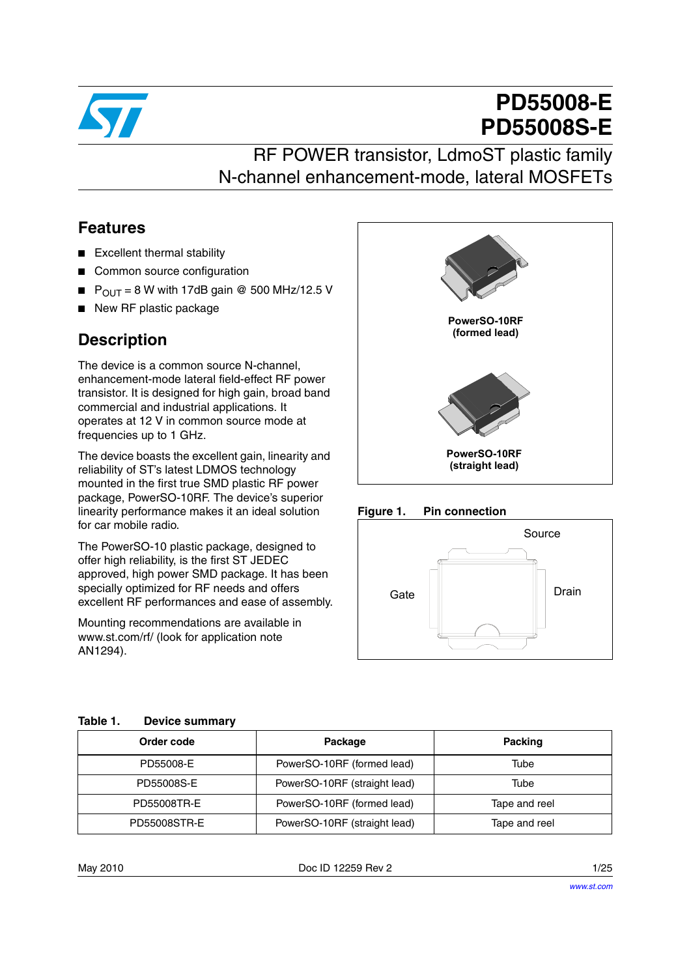

# **PD55008-E PD55008S-E**

# RF POWER transistor, LdmoST plastic family N-channel enhancement-mode, lateral MOSFETs

### **Features**

- Excellent thermal stability
- Common source configuration
- $P_{OUT} = 8$  W with 17dB gain @ 500 MHz/12.5 V
- New RF plastic package

### **Description**

The device is a common source N-channel, enhancement-mode lateral field-effect RF power transistor. It is designed for high gain, broad band commercial and industrial applications. It operates at 12 V in common source mode at frequencies up to 1 GHz.

The device boasts the excellent gain, linearity and reliability of ST's latest LDMOS technology mounted in the first true SMD plastic RF power package, PowerSO-10RF. The device's superior linearity performance makes it an ideal solution for car mobile radio.

The PowerSO-10 plastic package, designed to offer high reliability, is the first ST JEDEC approved, high power SMD package. It has been specially optimized for RF needs and offers excellent RF performances and ease of assembly.

Mounting recommendations are available in www.st.com/rf/ (look for application note AN1294).



#### **Figure 1. Pin connection**



| Order code          | Package                      | <b>Packing</b> |
|---------------------|------------------------------|----------------|
| PD55008-E           | PowerSO-10RF (formed lead)   | Tube           |
| PD55008S-E          | PowerSO-10RF (straight lead) | Tube           |
| PD55008TR-E         | PowerSO-10RF (formed lead)   | Tape and reel  |
| <b>PD55008STR-E</b> | PowerSO-10RF (straight lead) | Tape and reel  |

May 2010 **Doc ID 12259 Rev 2** 2 1/25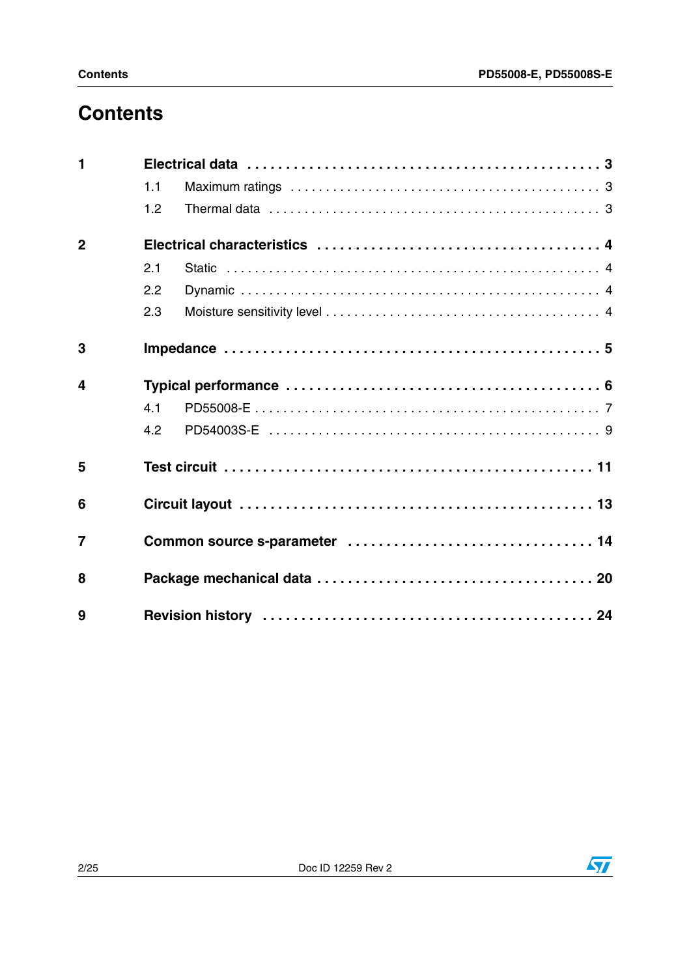# **Contents**

| $\blacksquare$   |     |  |
|------------------|-----|--|
|                  | 1.1 |  |
|                  | 1.2 |  |
| $\overline{2}$   |     |  |
|                  | 2.1 |  |
|                  | 2.2 |  |
|                  | 2.3 |  |
| 3                |     |  |
| $\boldsymbol{4}$ |     |  |
|                  | 4.1 |  |
|                  | 4.2 |  |
| 5                |     |  |
| 6                |     |  |
| $\overline{7}$   |     |  |
| 8                |     |  |
| 9                |     |  |

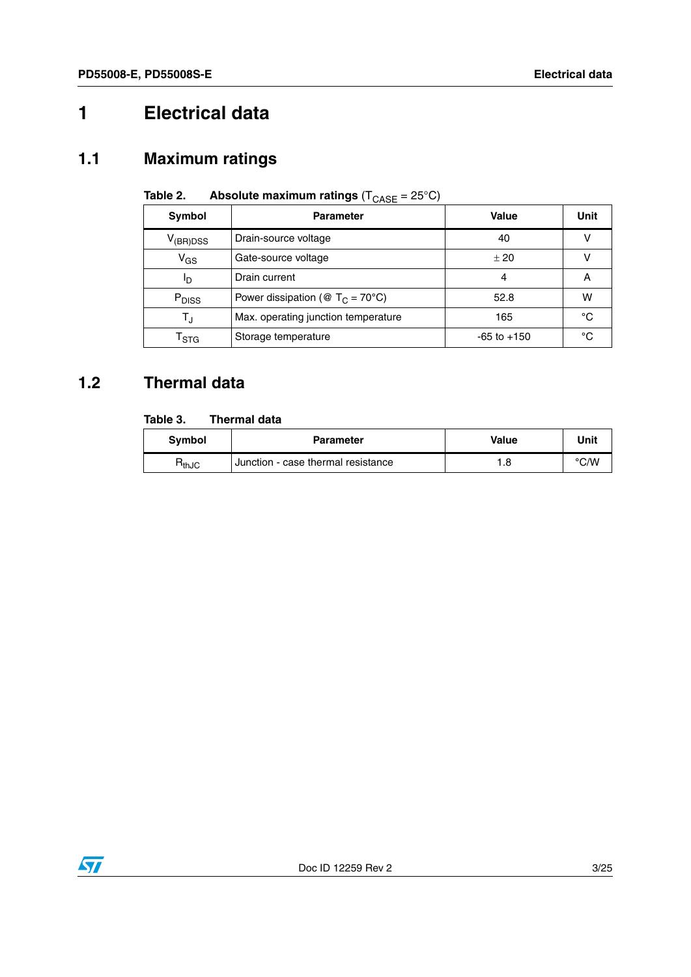# <span id="page-2-0"></span>**1 Electrical data**

### <span id="page-2-1"></span>**1.1 Maximum ratings**

| Symbol                      | <b>Parameter</b>                                         | Value           | Unit |
|-----------------------------|----------------------------------------------------------|-----------------|------|
| $V_{(BR)DSS}$               | Drain-source voltage                                     | 40              |      |
| $V_{GS}$                    | Gate-source voltage                                      | ± 20            |      |
| םי                          | Drain current                                            | 4               | А    |
| P <sub>DISS</sub>           | Power dissipation ( $\mathcal{O}$ T <sub>C</sub> = 70°C) | 52.8            | W    |
| T,                          | Max. operating junction temperature                      | 165             | °C   |
| $\mathsf{T}_{\textsf{STG}}$ | Storage temperature                                      | $-65$ to $+150$ | °C   |

### **Table 2.** Absolute maximum ratings  $(T_{\text{CASE}} = 25^{\circ} \text{C})$

### <span id="page-2-2"></span>**1.2 Thermal data**

#### **Table 3. Thermal data**

| <b>Symbol</b>                | <b>Parameter</b>                   | <b>Value</b> | Unit |
|------------------------------|------------------------------------|--------------|------|
| $\mathsf{R}_{\mathsf{thJC}}$ | Junction - case thermal resistance | . .8         | °C/W |

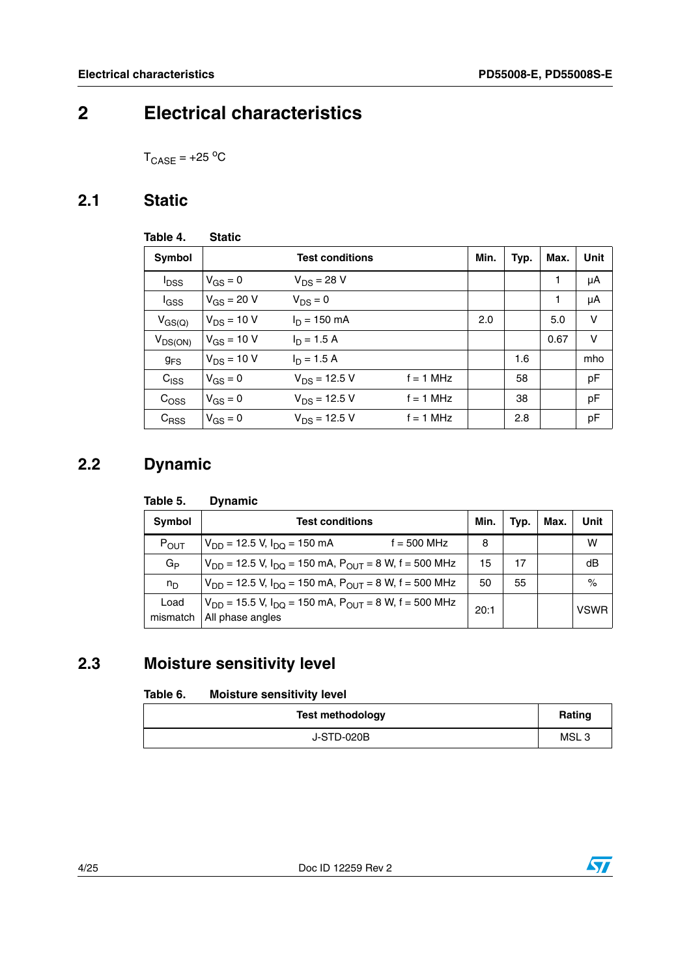## <span id="page-3-0"></span>**2 Electrical characteristics**

 $T_{\text{CASE}} = +25 \text{ °C}$ 

### <span id="page-3-1"></span>**2.1 Static**

| Table 4.                | <b>Static</b>   |                        |             |      |      |      |      |
|-------------------------|-----------------|------------------------|-------------|------|------|------|------|
| <b>Symbol</b>           |                 | <b>Test conditions</b> |             | Min. | Typ. | Max. | Unit |
| <b>I</b> <sub>DSS</sub> | $V_{GS} = 0$    | $V_{DS} = 28 V$        |             |      |      | 1    | μA   |
| $I_{GSS}$               | $V_{GS} = 20 V$ | $V_{DS} = 0$           |             |      |      | 1    | μA   |
| $V_{GS(Q)}$             | $V_{DS}$ = 10 V | $I_D = 150$ mA         |             | 2.0  |      | 5.0  | V    |
| $V_{DS(ON)}$            | $V_{GS}$ = 10 V | $I_D = 1.5 A$          |             |      |      | 0.67 | v    |
| <b>g<sub>FS</sub></b>   | $V_{DS}$ = 10 V | $I_D = 1.5 A$          |             |      | 1.6  |      | mho  |
| $C_{\text{ISS}}$        | $V_{GS} = 0$    | $V_{DS}$ = 12.5 V      | $f = 1$ MHz |      | 58   |      | pF   |
| C <sub>OSS</sub>        | $V_{GS} = 0$    | $V_{DS}$ = 12.5 V      | $f = 1$ MHz |      | 38   |      | pF   |
| $C_{RSS}$               | $V_{GS} = 0$    | $V_{DS}$ = 12.5 V      | $f = 1$ MHz |      | 2.8  |      | pF   |

### <span id="page-3-2"></span>**2.2 Dynamic**

#### **Table 5. Dynamic**

| Symbol           | <b>Test conditions</b>                                                                 |      | Typ. | Max. | Unit        |
|------------------|----------------------------------------------------------------------------------------|------|------|------|-------------|
| $P_{OUT}$        | $f = 500$ MHz<br>$V_{DD}$ = 12.5 V, $I_{DO}$ = 150 mA                                  | 8    |      |      | w           |
| $G_{\mathsf{P}}$ | $V_{DD}$ = 12.5 V, $I_{DD}$ = 150 mA, $P_{OUT}$ = 8 W, f = 500 MHz                     | 15   | 17   |      | dB          |
| $n_{\rm D}$      | $V_{DD}$ = 12.5 V, $I_{DO}$ = 150 mA, $P_{OUT}$ = 8 W, f = 500 MHz                     | 50   | 55   |      | $\%$        |
| Load<br>mismatch | $V_{DD}$ = 15.5 V, $I_{DO}$ = 150 mA, $P_{OUT}$ = 8 W, f = 500 MHz<br>All phase angles | 20:1 |      |      | <b>VSWR</b> |

### <span id="page-3-3"></span>**2.3 Moisture sensitivity level**

#### <span id="page-3-4"></span>Table 6. **Moisture sensitivity level**

| <b>Test methodology</b> | Rating           |
|-------------------------|------------------|
| J-STD-020B              | MSL <sub>3</sub> |

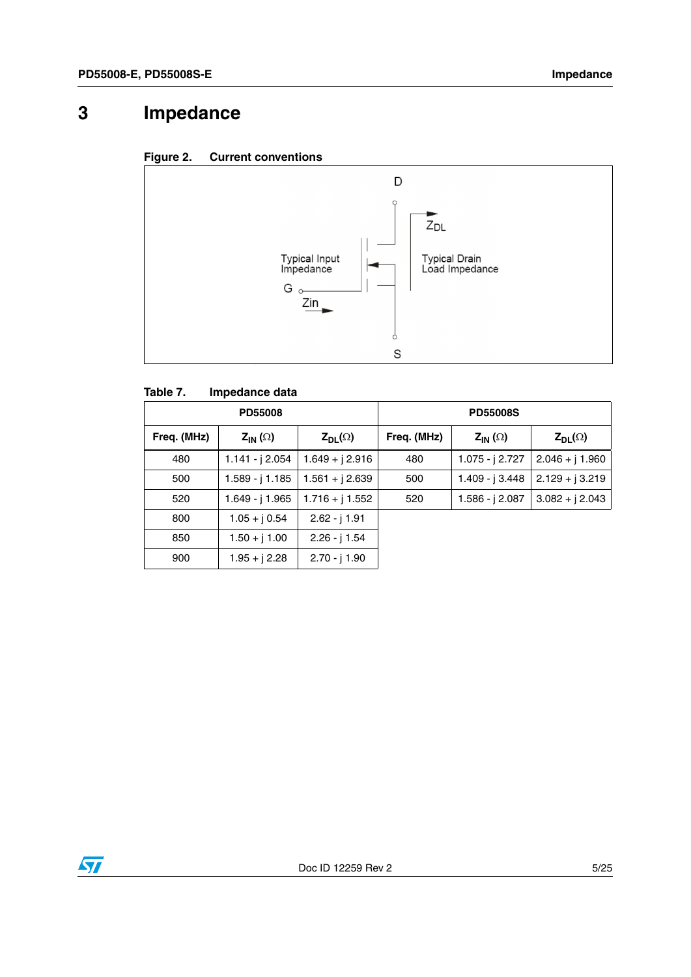# <span id="page-4-0"></span>**3 Impedance**





#### **Table 7. Impedance data**

| <b>PD55008</b> |                   |                   |             | <b>PD55008S</b>   |                   |
|----------------|-------------------|-------------------|-------------|-------------------|-------------------|
| Freq. (MHz)    | $Z_{IN}(\Omega)$  | $Z_{DL}(\Omega)$  | Freq. (MHz) | $Z_{IN}(\Omega)$  | $Z_{DL}(\Omega)$  |
| 480            | $1.141 - j$ 2.054 | $1.649 + j 2.916$ | 480         | 1.075 - $j$ 2.727 | $2.046 + j 1.960$ |
| 500            | 1.589 - j 1.185   | $1.561 + j 2.639$ | 500         | 1.409 - j 3.448   | $2.129 + j 3.219$ |
| 520            | 1.649 - j 1.965   | $1.716 + j 1.552$ | 520         | 1.586 - j 2.087   | $3.082 + j 2.043$ |
| 800            | $1.05 + j 0.54$   | $2.62 - j$ 1.91   |             |                   |                   |
| 850            | $1.50 + j 1.00$   | $2.26 - j$ 1.54   |             |                   |                   |
| 900            | $1.95 + j 2.28$   | $2.70 - j$ 1.90   |             |                   |                   |

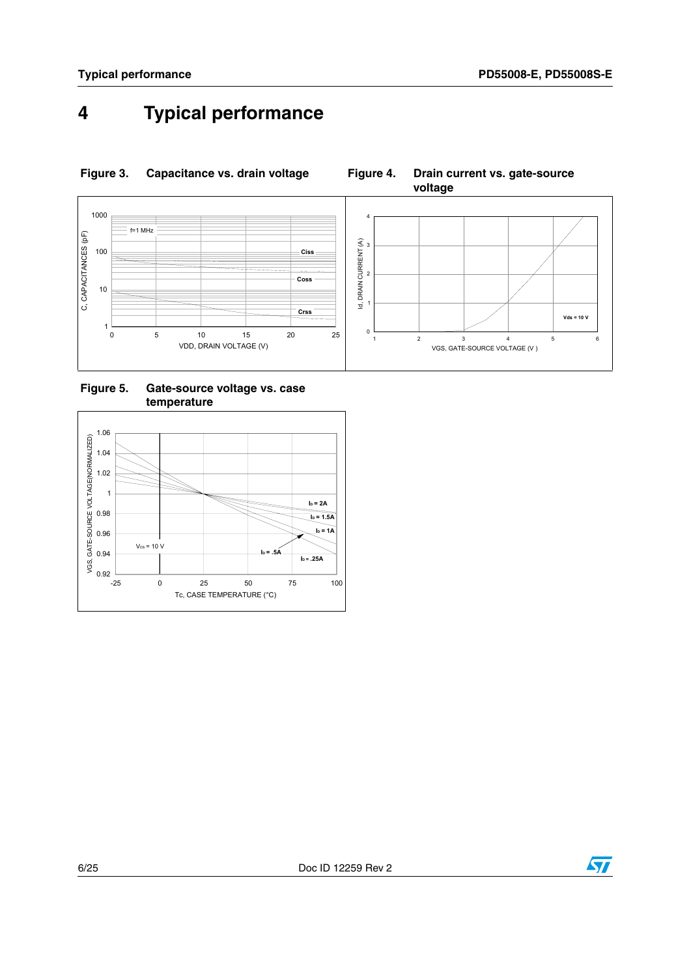# <span id="page-5-0"></span>**4 Typical performance**



**Figure 3. Capacitance vs. drain voltage Figure 4. Drain current vs. gate-source** 

**voltage**

**Figure 5. Gate-source voltage vs. case temperature**



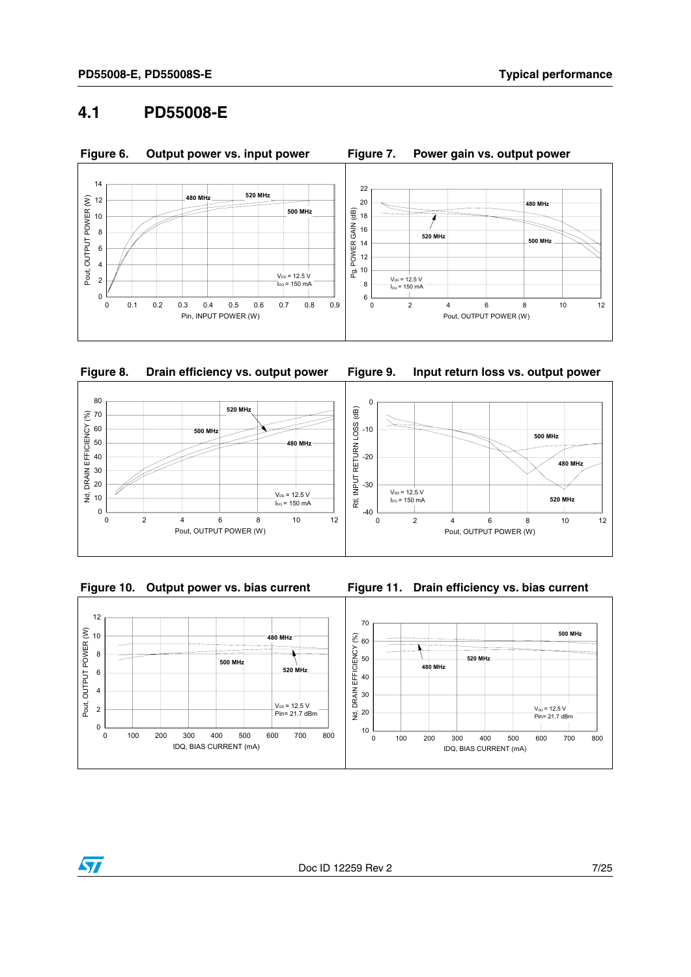### <span id="page-6-0"></span>**4.1 PD55008-E**













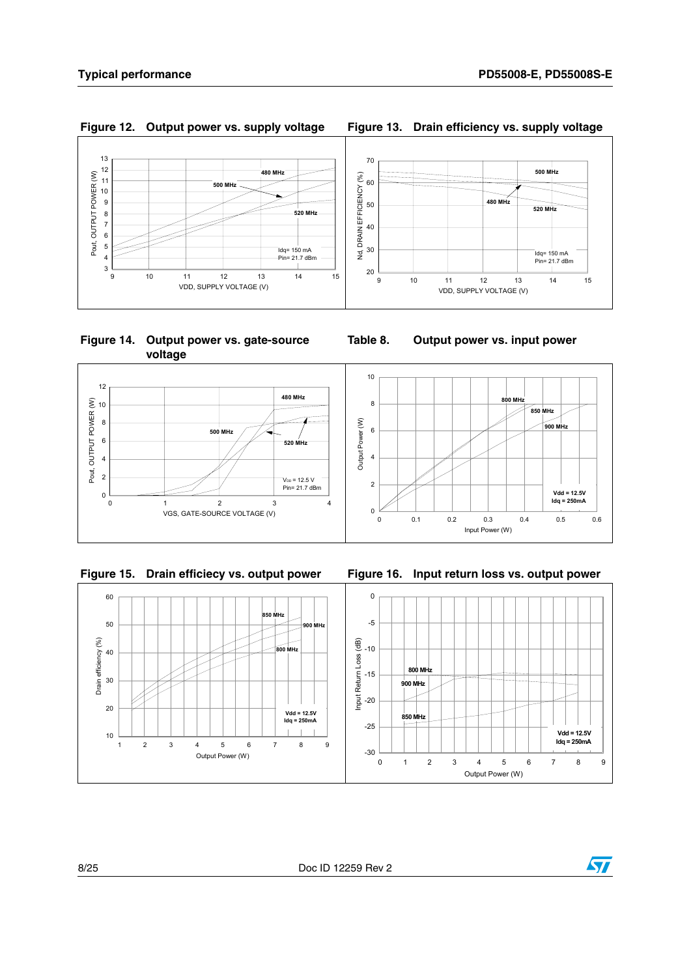Pout, OUTPUT POWER (W)



**Figure 14. Output power vs. gate-source voltage**





**Figure 15. Drain efficiecy vs. output power Figure 16. Input return loss vs. output power**

**Table 8. Output power vs. input power**



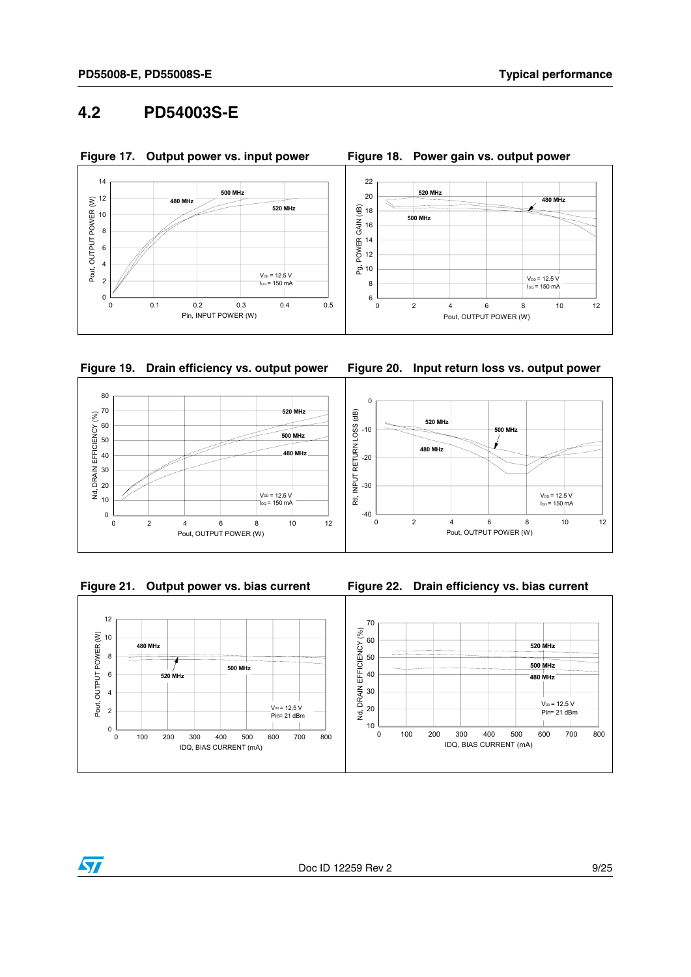### <span id="page-8-0"></span>**4.2 PD54003S-E**







**Figure 19. Drain efficiency vs. output power Figure 20. Input return loss vs. output power**









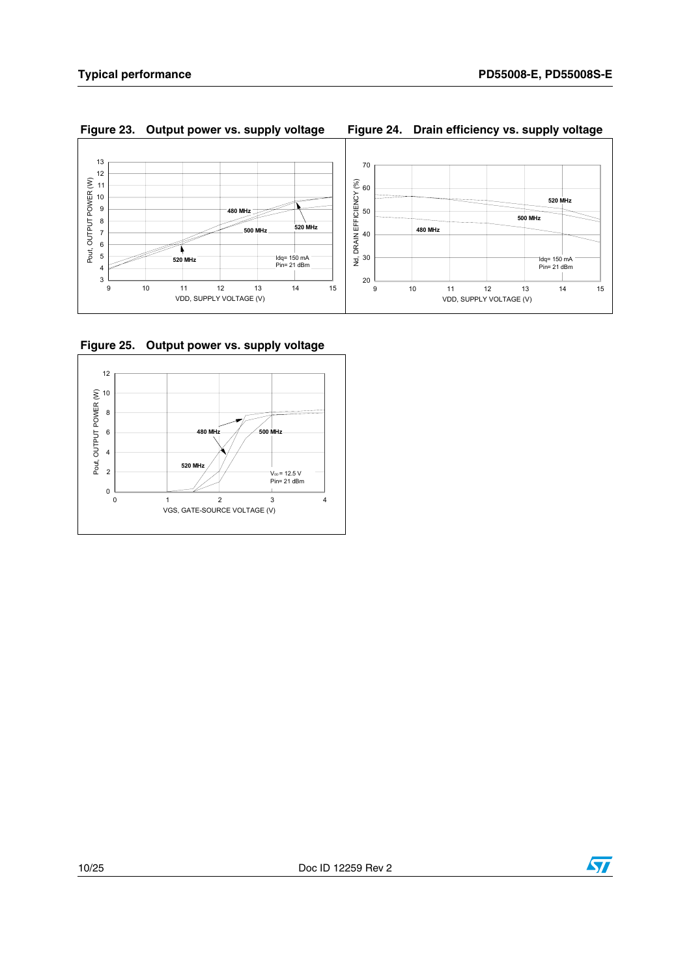

#### **Figure 23. Output power vs. supply voltage Figure 24. Drain efficiency vs. supply voltage**



**Figure 25. Output power vs. supply voltage**



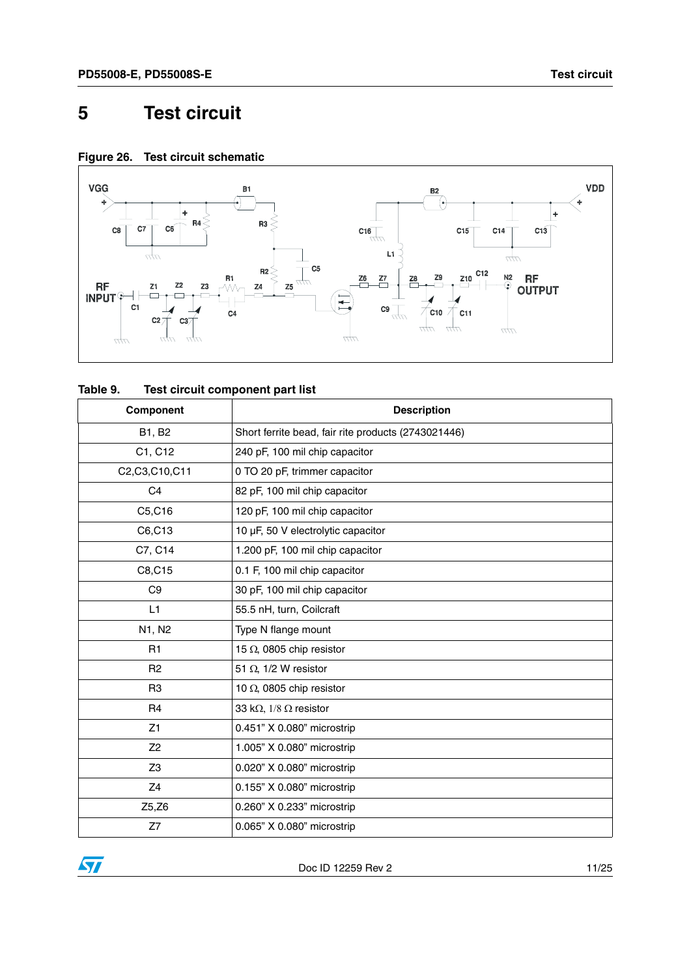### <span id="page-10-0"></span>**5 Test circuit**

**Figure 26. Test circuit schematic**



| Table 9. | Test circuit component part list |
|----------|----------------------------------|
|----------|----------------------------------|

| Component      | <b>Description</b>                                  |
|----------------|-----------------------------------------------------|
| B1, B2         | Short ferrite bead, fair rite products (2743021446) |
| C1, C12        | 240 pF, 100 mil chip capacitor                      |
| C2,C3,C10,C11  | 0 TO 20 pF, trimmer capacitor                       |
| C <sub>4</sub> | 82 pF, 100 mil chip capacitor                       |
| C5,C16         | 120 pF, 100 mil chip capacitor                      |
| C6,C13         | 10 µF, 50 V electrolytic capacitor                  |
| C7, C14        | 1.200 pF, 100 mil chip capacitor                    |
| C8, C15        | 0.1 F, 100 mil chip capacitor                       |
| C <sub>9</sub> | 30 pF, 100 mil chip capacitor                       |
| L1             | 55.5 nH, turn, Coilcraft                            |
| N1, N2         | Type N flange mount                                 |
| R1             | 15 $\Omega$ , 0805 chip resistor                    |
| R <sub>2</sub> | 51 $\Omega$ , 1/2 W resistor                        |
| R <sub>3</sub> | 10 $\Omega$ , 0805 chip resistor                    |
| R <sub>4</sub> | 33 k $\Omega$ , 1/8 $\Omega$ resistor               |
| Z1             | 0.451" X 0.080" microstrip                          |
| Z <sub>2</sub> | 1.005" X 0.080" microstrip                          |
| Z <sub>3</sub> | 0.020" X 0.080" microstrip                          |
| Z4             | 0.155" X 0.080" microstrip                          |
| Z5,Z6          | 0.260" X 0.233" microstrip                          |
| Z7             | 0.065" X 0.080" microstrip                          |

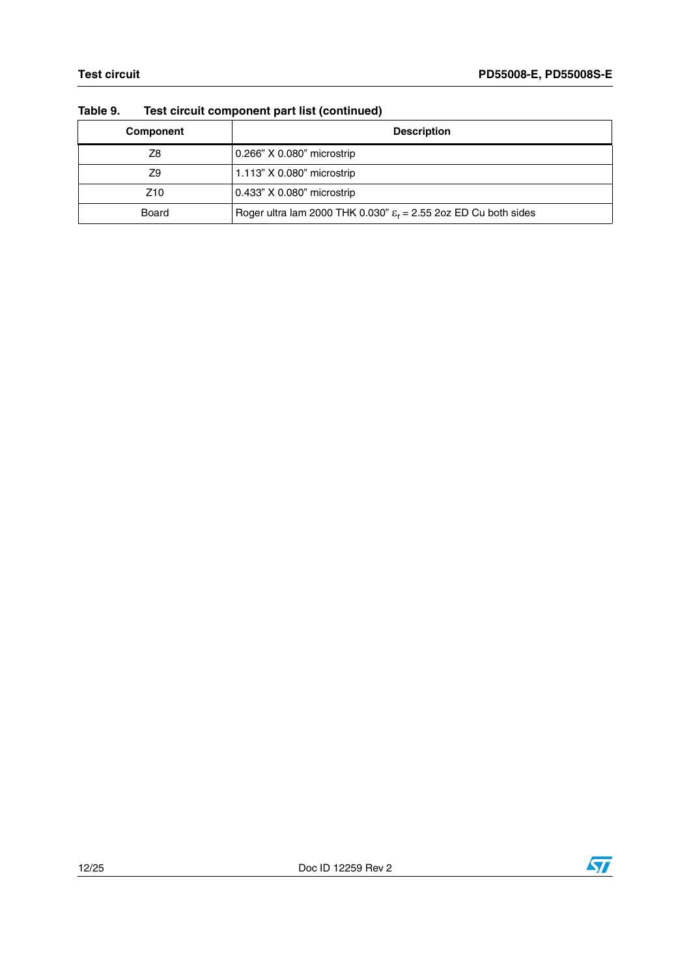| .<br>Toot on oant oomponent part not (oommada) |                                                                             |  |
|------------------------------------------------|-----------------------------------------------------------------------------|--|
| Component                                      | <b>Description</b>                                                          |  |
| Z8                                             | 0.266" X 0.080" microstrip                                                  |  |
| Z9                                             | 1.113" X 0.080" microstrip                                                  |  |
| Z <sub>10</sub>                                | 0.433" X 0.080" microstrip                                                  |  |
| Board                                          | Roger ultra lam 2000 THK 0.030" $\varepsilon_r$ = 2.55 2oz ED Cu both sides |  |

#### **Table 9. Test circuit component part list (continued)**

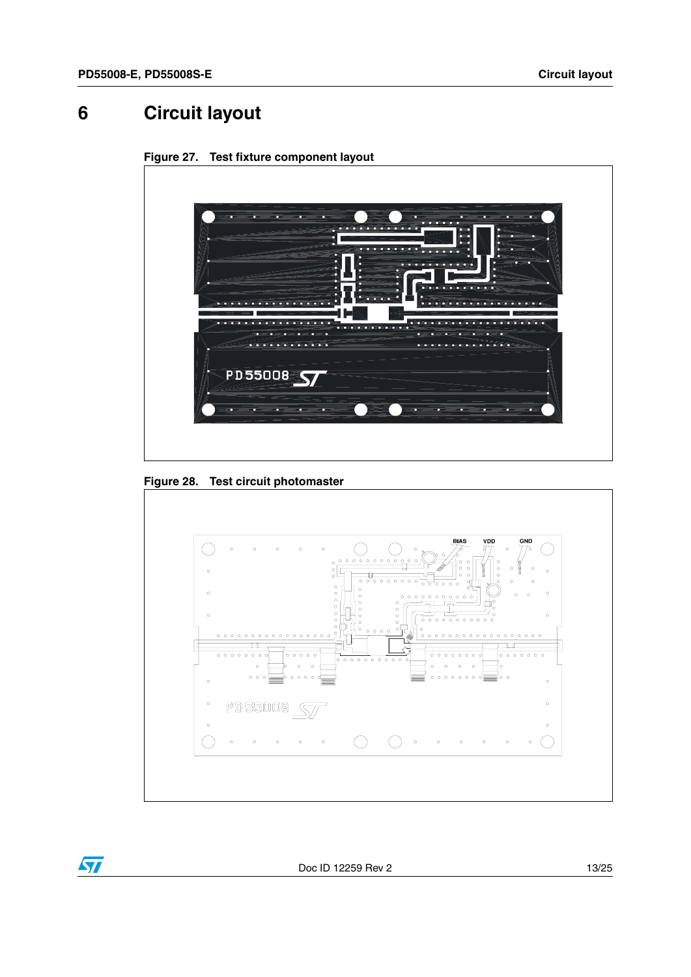# <span id="page-12-0"></span>**6 Circuit layout**



**Figure 27. Test fixture component layout** 

**Figure 28. Test circuit photomaster**

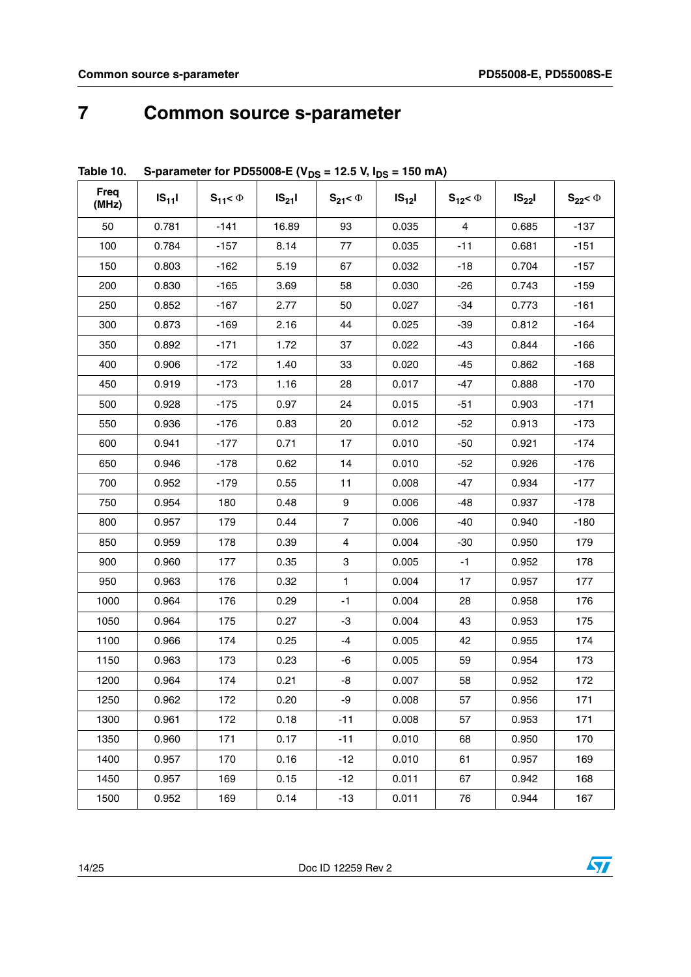### <span id="page-13-0"></span>**7 Common source s-parameter**

| <b>Freq</b><br>(MHz) | $IS_{11}$ | $S_{11} < \Phi$ | $IS_{21}$ | $S_{21} < \Phi$ | $IS_{12}$ | $S_{12} < \Phi$ | $IS_{22}$ | $S_{22}$ < $\Phi$ |
|----------------------|-----------|-----------------|-----------|-----------------|-----------|-----------------|-----------|-------------------|
| 50                   | 0.781     | $-141$          | 16.89     | 93              | 0.035     | 4               | 0.685     | $-137$            |
| 100                  | 0.784     | $-157$          | 8.14      | 77              | 0.035     | $-11$           | 0.681     | $-151$            |
| 150                  | 0.803     | $-162$          | 5.19      | 67              | 0.032     | $-18$           | 0.704     | $-157$            |
| 200                  | 0.830     | $-165$          | 3.69      | 58              | 0.030     | $-26$           | 0.743     | $-159$            |
| 250                  | 0.852     | $-167$          | 2.77      | 50              | 0.027     | $-34$           | 0.773     | $-161$            |
| 300                  | 0.873     | $-169$          | 2.16      | 44              | 0.025     | $-39$           | 0.812     | $-164$            |
| 350                  | 0.892     | $-171$          | 1.72      | 37              | 0.022     | -43             | 0.844     | $-166$            |
| 400                  | 0.906     | $-172$          | 1.40      | 33              | 0.020     | $-45$           | 0.862     | $-168$            |
| 450                  | 0.919     | $-173$          | 1.16      | 28              | 0.017     | $-47$           | 0.888     | $-170$            |
| 500                  | 0.928     | $-175$          | 0.97      | 24              | 0.015     | $-51$           | 0.903     | $-171$            |
| 550                  | 0.936     | $-176$          | 0.83      | 20              | 0.012     | $-52$           | 0.913     | $-173$            |
| 600                  | 0.941     | $-177$          | 0.71      | 17              | 0.010     | $-50$           | 0.921     | $-174$            |
| 650                  | 0.946     | $-178$          | 0.62      | 14              | 0.010     | $-52$           | 0.926     | $-176$            |
| 700                  | 0.952     | $-179$          | 0.55      | 11              | 0.008     | $-47$           | 0.934     | $-177$            |
| 750                  | 0.954     | 180             | 0.48      | 9               | 0.006     | $-48$           | 0.937     | $-178$            |
| 800                  | 0.957     | 179             | 0.44      | $\overline{7}$  | 0.006     | $-40$           | 0.940     | $-180$            |
| 850                  | 0.959     | 178             | 0.39      | 4               | 0.004     | $-30$           | 0.950     | 179               |
| 900                  | 0.960     | 177             | 0.35      | 3               | 0.005     | $-1$            | 0.952     | 178               |
| 950                  | 0.963     | 176             | 0.32      | $\mathbf{1}$    | 0.004     | 17              | 0.957     | 177               |
| 1000                 | 0.964     | 176             | 0.29      | $-1$            | 0.004     | 28              | 0.958     | 176               |
| 1050                 | 0.964     | 175             | 0.27      | -3              | 0.004     | 43              | 0.953     | 175               |
| 1100                 | 0.966     | 174             | 0.25      | -4              | 0.005     | 42              | 0.955     | 174               |
| 1150                 | 0.963     | 173             | 0.23      | -6              | 0.005     | 59              | 0.954     | 173               |
| 1200                 | 0.964     | 174             | 0.21      | -8              | 0.007     | 58              | 0.952     | 172               |
| 1250                 | 0.962     | 172             | 0.20      | -9              | 0.008     | 57              | 0.956     | 171               |
| 1300                 | 0.961     | 172             | 0.18      | $-11$           | 0.008     | 57              | 0.953     | 171               |
| 1350                 | 0.960     | 171             | 0.17      | $-11$           | 0.010     | 68              | 0.950     | 170               |
| 1400                 | 0.957     | 170             | 0.16      | $-12$           | 0.010     | 61              | 0.957     | 169               |
| 1450                 | 0.957     | 169             | 0.15      | $-12$           | 0.011     | 67              | 0.942     | 168               |
| 1500                 | 0.952     | 169             | 0.14      | $-13$           | 0.011     | 76              | 0.944     | 167               |

### Table 10. S-parameter for PD55008-E ( $V_{DS}$  = 12.5 V,  $I_{DS}$  = 150 mA)

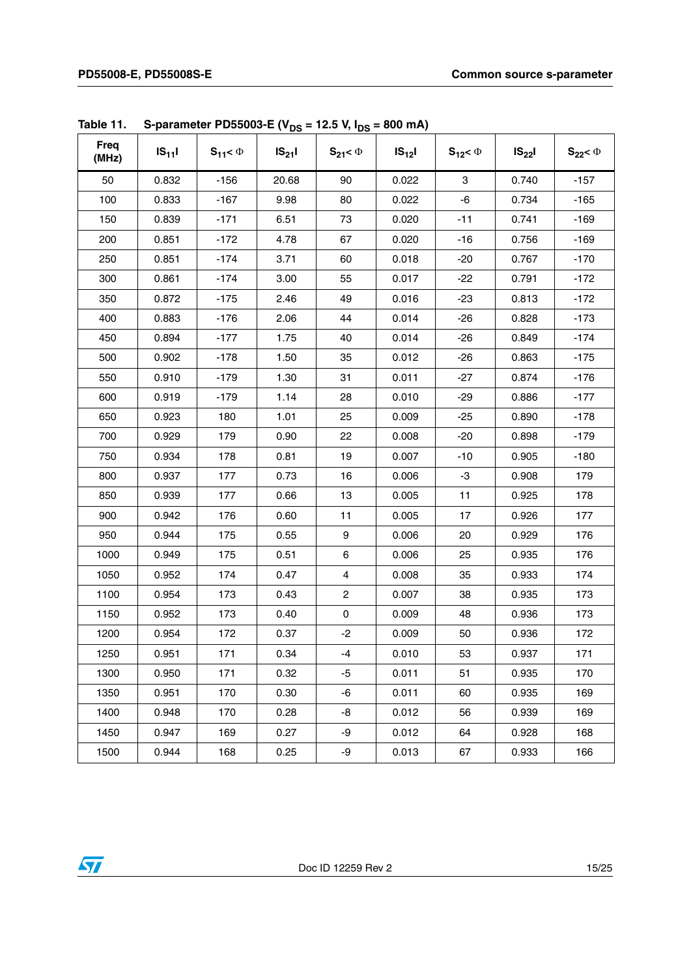| <b>Freq</b><br>(MHz) | $IS_{11}$ | $S_{11} < \Phi$ | $IS_{21}I$ | $S_{21} < \Phi$  | $IS_{12}$ | $S_{12} < \Phi$ | $IS_{22}$ | $S_{22}$ < $\Phi$ |
|----------------------|-----------|-----------------|------------|------------------|-----------|-----------------|-----------|-------------------|
| 50                   | 0.832     | $-156$          | 20.68      | 90               | 0.022     | 3               | 0.740     | $-157$            |
| 100                  | 0.833     | $-167$          | 9.98       | 80               | 0.022     | -6              | 0.734     | $-165$            |
| 150                  | 0.839     | $-171$          | 6.51       | 73               | 0.020     | $-11$           | 0.741     | $-169$            |
| 200                  | 0.851     | $-172$          | 4.78       | 67               | 0.020     | $-16$           | 0.756     | $-169$            |
| 250                  | 0.851     | $-174$          | 3.71       | 60               | 0.018     | $-20$           | 0.767     | $-170$            |
| 300                  | 0.861     | $-174$          | 3.00       | 55               | 0.017     | $-22$           | 0.791     | $-172$            |
| 350                  | 0.872     | $-175$          | 2.46       | 49               | 0.016     | $-23$           | 0.813     | $-172$            |
| 400                  | 0.883     | $-176$          | 2.06       | 44               | 0.014     | $-26$           | 0.828     | $-173$            |
| 450                  | 0.894     | $-177$          | 1.75       | 40               | 0.014     | $-26$           | 0.849     | $-174$            |
| 500                  | 0.902     | $-178$          | 1.50       | 35               | 0.012     | $-26$           | 0.863     | $-175$            |
| 550                  | 0.910     | $-179$          | 1.30       | 31               | 0.011     | $-27$           | 0.874     | $-176$            |
| 600                  | 0.919     | $-179$          | 1.14       | 28               | 0.010     | $-29$           | 0.886     | $-177$            |
| 650                  | 0.923     | 180             | 1.01       | 25               | 0.009     | $-25$           | 0.890     | $-178$            |
| 700                  | 0.929     | 179             | 0.90       | 22               | 0.008     | $-20$           | 0.898     | $-179$            |
| 750                  | 0.934     | 178             | 0.81       | 19               | 0.007     | $-10$           | 0.905     | $-180$            |
| 800                  | 0.937     | 177             | 0.73       | 16               | 0.006     | -3              | 0.908     | 179               |
| 850                  | 0.939     | 177             | 0.66       | 13               | 0.005     | 11              | 0.925     | 178               |
| 900                  | 0.942     | 176             | 0.60       | 11               | 0.005     | 17              | 0.926     | 177               |
| 950                  | 0.944     | 175             | 0.55       | $\boldsymbol{9}$ | 0.006     | 20              | 0.929     | 176               |
| 1000                 | 0.949     | 175             | 0.51       | $\,6\,$          | 0.006     | 25              | 0.935     | 176               |
| 1050                 | 0.952     | 174             | 0.47       | 4                | 0.008     | 35              | 0.933     | 174               |
| 1100                 | 0.954     | 173             | 0.43       | $\mathbf 2$      | 0.007     | 38              | 0.935     | 173               |
| 1150                 | 0.952     | 173             | 0.40       | 0                | 0.009     | 48              | 0.936     | 173               |
| 1200                 | 0.954     | 172             | 0.37       | $-2$             | 0.009     | 50              | 0.936     | 172               |
| 1250                 | 0.951     | 171             | 0.34       | -4               | 0.010     | 53              | 0.937     | 171               |
| 1300                 | 0.950     | 171             | 0.32       | -5               | 0.011     | 51              | 0.935     | 170               |
| 1350                 | 0.951     | 170             | 0.30       | -6               | 0.011     | 60              | 0.935     | 169               |
| 1400                 | 0.948     | 170             | 0.28       | -8               | 0.012     | 56              | 0.939     | 169               |
| 1450                 | 0.947     | 169             | 0.27       | -9               | 0.012     | 64              | 0.928     | 168               |
| 1500                 | 0.944     | 168             | 0.25       | -9               | 0.013     | 67              | 0.933     | 166               |

|  | Table 11. S-parameter PD55003-E (V <sub>DS</sub> = 12.5 V, I <sub>DS</sub> = 800 mA) |
|--|--------------------------------------------------------------------------------------|
|--|--------------------------------------------------------------------------------------|

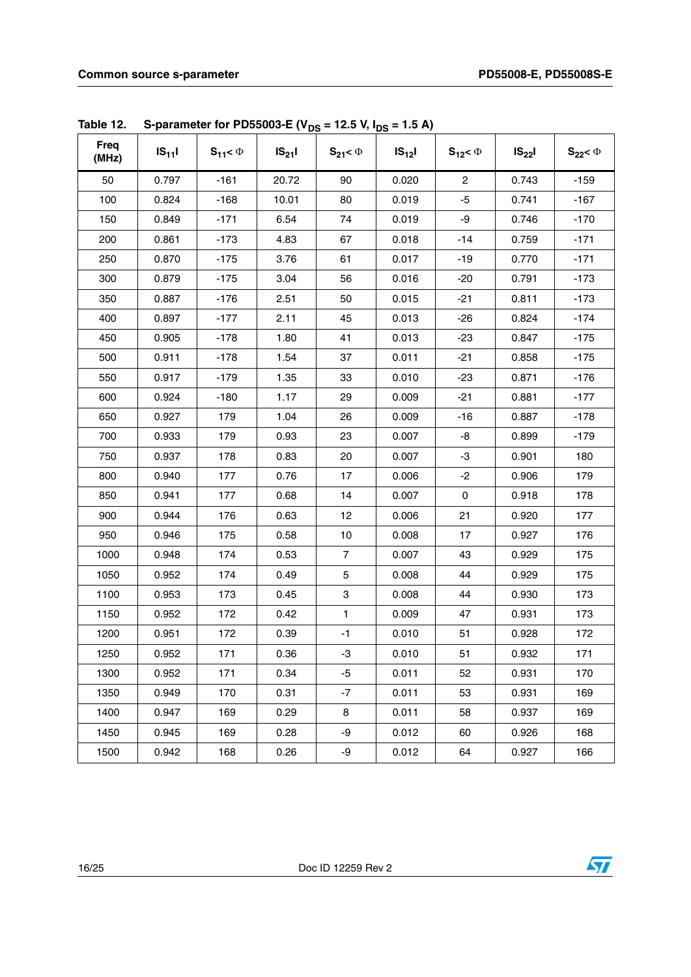| Freq<br>(MHz) | $IS_{11}$ | $S_{11} < \Phi$ | $IS_{21}I$ | $S_{21} < \Phi$ | $IS_{12}$ | $S_{12} < \Phi$ | $IS_{22}$ | $S_{22}$ < $\Phi$ |
|---------------|-----------|-----------------|------------|-----------------|-----------|-----------------|-----------|-------------------|
| 50            | 0.797     | $-161$          | 20.72      | 90              | 0.020     | $\overline{c}$  | 0.743     | $-159$            |
| 100           | 0.824     | $-168$          | 10.01      | 80              | 0.019     | $-5$            | 0.741     | $-167$            |
| 150           | 0.849     | $-171$          | 6.54       | 74              | 0.019     | -9              | 0.746     | $-170$            |
| 200           | 0.861     | $-173$          | 4.83       | 67              | 0.018     | $-14$           | 0.759     | $-171$            |
| 250           | 0.870     | $-175$          | 3.76       | 61              | 0.017     | $-19$           | 0.770     | $-171$            |
| 300           | 0.879     | $-175$          | 3.04       | 56              | 0.016     | $-20$           | 0.791     | $-173$            |
| 350           | 0.887     | $-176$          | 2.51       | 50              | 0.015     | $-21$           | 0.811     | $-173$            |
| 400           | 0.897     | $-177$          | 2.11       | 45              | 0.013     | $-26$           | 0.824     | $-174$            |
| 450           | 0.905     | $-178$          | 1.80       | 41              | 0.013     | $-23$           | 0.847     | $-175$            |
| 500           | 0.911     | $-178$          | 1.54       | 37              | 0.011     | $-21$           | 0.858     | $-175$            |
| 550           | 0.917     | $-179$          | 1.35       | 33              | 0.010     | $-23$           | 0.871     | $-176$            |
| 600           | 0.924     | $-180$          | 1.17       | 29              | 0.009     | $-21$           | 0.881     | $-177$            |
| 650           | 0.927     | 179             | 1.04       | 26              | 0.009     | $-16$           | 0.887     | $-178$            |
| 700           | 0.933     | 179             | 0.93       | 23              | 0.007     | -8              | 0.899     | $-179$            |
| 750           | 0.937     | 178             | 0.83       | 20              | 0.007     | -3              | 0.901     | 180               |
| 800           | 0.940     | 177             | 0.76       | 17              | 0.006     | $-2$            | 0.906     | 179               |
| 850           | 0.941     | 177             | 0.68       | 14              | 0.007     | $\mathsf 0$     | 0.918     | 178               |
| 900           | 0.944     | 176             | 0.63       | 12              | 0.006     | 21              | 0.920     | 177               |
| 950           | 0.946     | 175             | 0.58       | 10              | 0.008     | 17              | 0.927     | 176               |
| 1000          | 0.948     | 174             | 0.53       | $\overline{7}$  | 0.007     | 43              | 0.929     | 175               |
| 1050          | 0.952     | 174             | 0.49       | 5               | 0.008     | 44              | 0.929     | 175               |
| 1100          | 0.953     | 173             | 0.45       | 3               | 0.008     | 44              | 0.930     | 173               |
| 1150          | 0.952     | 172             | 0.42       | 1               | 0.009     | 47              | 0.931     | 173               |
| 1200          | 0.951     | 172             | 0.39       | $-1$            | 0.010     | 51              | 0.928     | 172               |
| 1250          | 0.952     | 171             | 0.36       | $-3$            | 0.010     | 51              | 0.932     | 171               |
| 1300          | 0.952     | 171             | 0.34       | $-5$            | 0.011     | 52              | 0.931     | 170               |
| 1350          | 0.949     | 170             | 0.31       | $-7$            | 0.011     | 53              | 0.931     | 169               |
| 1400          | 0.947     | 169             | 0.29       | 8               | 0.011     | 58              | 0.937     | 169               |
| 1450          | 0.945     | 169             | 0.28       | -9              | 0.012     | 60              | 0.926     | 168               |
| 1500          | 0.942     | 168             | 0.26       | -9              | 0.012     | 64              | 0.927     | 166               |

**Table 12.** S-parameter for PD55003-E ( $V_{DS}$  = 12.5 V,  $I_{DS}$  = 1.5 A)

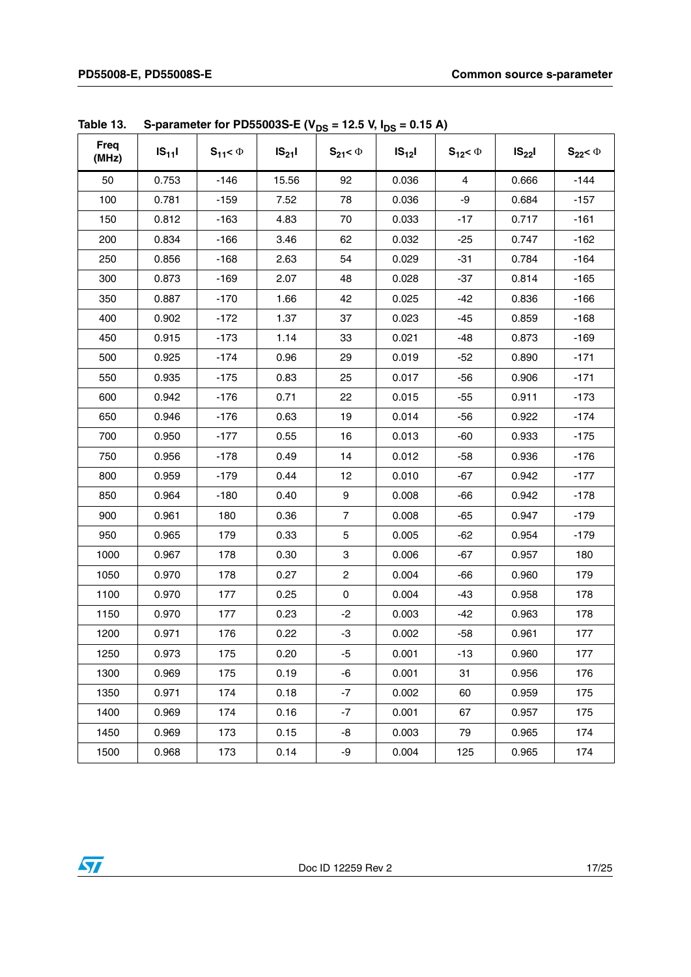| <b>Freq</b><br>(MHz) | $IS_{11}I$ | $S_{11} < \Phi$ | $IS_{21}I$ | $S_{21} < \Phi$ | $IS_{12}$ | $S_{12} < \Phi$ | $IS_{22}$ | $S_{22}$ < $\Phi$ |
|----------------------|------------|-----------------|------------|-----------------|-----------|-----------------|-----------|-------------------|
| 50                   | 0.753      | $-146$          | 15.56      | 92              | 0.036     | $\overline{4}$  | 0.666     | $-144$            |
| 100                  | 0.781      | $-159$          | 7.52       | 78              | 0.036     | -9              | 0.684     | $-157$            |
| 150                  | 0.812      | $-163$          | 4.83       | 70              | 0.033     | $-17$           | 0.717     | $-161$            |
| 200                  | 0.834      | $-166$          | 3.46       | 62              | 0.032     | $-25$           | 0.747     | $-162$            |
| 250                  | 0.856      | $-168$          | 2.63       | 54              | 0.029     | $-31$           | 0.784     | $-164$            |
| 300                  | 0.873      | $-169$          | 2.07       | 48              | 0.028     | $-37$           | 0.814     | $-165$            |
| 350                  | 0.887      | $-170$          | 1.66       | 42              | 0.025     | $-42$           | 0.836     | $-166$            |
| 400                  | 0.902      | $-172$          | 1.37       | 37              | 0.023     | $-45$           | 0.859     | $-168$            |
| 450                  | 0.915      | $-173$          | 1.14       | 33              | 0.021     | $-48$           | 0.873     | $-169$            |
| 500                  | 0.925      | $-174$          | 0.96       | 29              | 0.019     | $-52$           | 0.890     | $-171$            |
| 550                  | 0.935      | $-175$          | 0.83       | 25              | 0.017     | $-56$           | 0.906     | $-171$            |
| 600                  | 0.942      | $-176$          | 0.71       | 22              | 0.015     | $-55$           | 0.911     | $-173$            |
| 650                  | 0.946      | $-176$          | 0.63       | 19              | 0.014     | $-56$           | 0.922     | $-174$            |
| 700                  | 0.950      | $-177$          | 0.55       | 16              | 0.013     | -60             | 0.933     | $-175$            |
| 750                  | 0.956      | $-178$          | 0.49       | 14              | 0.012     | $-58$           | 0.936     | $-176$            |
| 800                  | 0.959      | $-179$          | 0.44       | 12              | 0.010     | $-67$           | 0.942     | $-177$            |
| 850                  | 0.964      | $-180$          | 0.40       | 9               | 0.008     | -66             | 0.942     | $-178$            |
| 900                  | 0.961      | 180             | 0.36       | $\overline{7}$  | 0.008     | $-65$           | 0.947     | $-179$            |
| 950                  | 0.965      | 179             | 0.33       | 5               | 0.005     | $-62$           | 0.954     | $-179$            |
| 1000                 | 0.967      | 178             | 0.30       | 3               | 0.006     | $-67$           | 0.957     | 180               |
| 1050                 | 0.970      | 178             | 0.27       | $\overline{c}$  | 0.004     | $-66$           | 0.960     | 179               |
| 1100                 | 0.970      | 177             | 0.25       | $\pmb{0}$       | 0.004     | $-43$           | 0.958     | 178               |
| 1150                 | 0.970      | 177             | 0.23       | $-2$            | 0.003     | $-42$           | 0.963     | 178               |
| 1200                 | 0.971      | 176             | 0.22       | -3              | 0.002     | $-58$           | 0.961     | 177               |
| 1250                 | 0.973      | 175             | 0.20       | -5              | 0.001     | $-13$           | 0.960     | 177               |
| 1300                 | 0.969      | 175             | 0.19       | -6              | 0.001     | 31              | 0.956     | 176               |
| 1350                 | 0.971      | 174             | 0.18       | $-7$            | 0.002     | 60              | 0.959     | 175               |
| 1400                 | 0.969      | 174             | 0.16       | $-7$            | 0.001     | 67              | 0.957     | 175               |
| 1450                 | 0.969      | 173             | 0.15       | -8              | 0.003     | 79              | 0.965     | 174               |
| 1500                 | 0.968      | 173             | 0.14       | -9              | 0.004     | 125             | 0.965     | 174               |

**Table 13.** S-parameter for PD55003S-E (V<sub>DS</sub> = 12.5 V, I<sub>DS</sub> = 0.15 A)

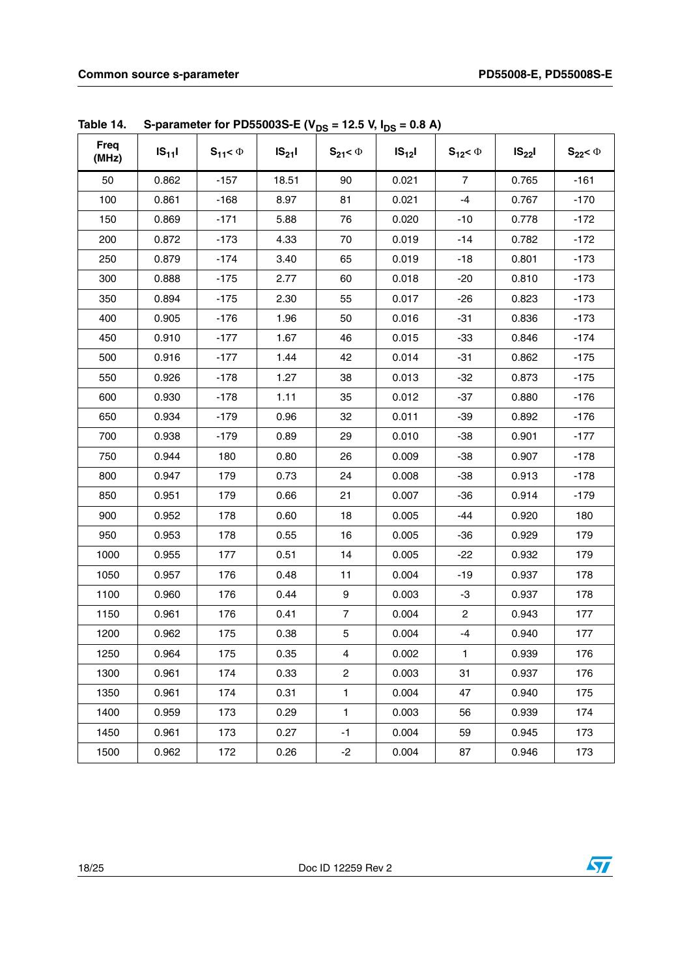| Freq<br>(MHz) | $IS_{11}$ | $S_{11} < \Phi$ | $IS_{21}I$ | $S_{21} < \Phi$  | $IS_{12}$ | $S_{12} < \Phi$ | $IS_{22}$ | $S_{22}$ < $\Phi$ |
|---------------|-----------|-----------------|------------|------------------|-----------|-----------------|-----------|-------------------|
| 50            | 0.862     | $-157$          | 18.51      | 90               | 0.021     | $\overline{7}$  | 0.765     | $-161$            |
| 100           | 0.861     | $-168$          | 8.97       | 81               | 0.021     | $-4$            | 0.767     | $-170$            |
| 150           | 0.869     | $-171$          | 5.88       | 76               | 0.020     | $-10$           | 0.778     | $-172$            |
| 200           | 0.872     | $-173$          | 4.33       | 70               | 0.019     | $-14$           | 0.782     | $-172$            |
| 250           | 0.879     | $-174$          | 3.40       | 65               | 0.019     | $-18$           | 0.801     | $-173$            |
| 300           | 0.888     | $-175$          | 2.77       | 60               | 0.018     | $-20$           | 0.810     | $-173$            |
| 350           | 0.894     | $-175$          | 2.30       | 55               | 0.017     | $-26$           | 0.823     | $-173$            |
| 400           | 0.905     | $-176$          | 1.96       | 50               | 0.016     | $-31$           | 0.836     | $-173$            |
| 450           | 0.910     | $-177$          | 1.67       | 46               | 0.015     | -33             | 0.846     | $-174$            |
| 500           | 0.916     | $-177$          | 1.44       | 42               | 0.014     | $-31$           | 0.862     | $-175$            |
| 550           | 0.926     | $-178$          | 1.27       | 38               | 0.013     | $-32$           | 0.873     | $-175$            |
| 600           | 0.930     | $-178$          | 1.11       | 35               | 0.012     | $-37$           | 0.880     | $-176$            |
| 650           | 0.934     | $-179$          | 0.96       | 32               | 0.011     | $-39$           | 0.892     | $-176$            |
| 700           | 0.938     | $-179$          | 0.89       | 29               | 0.010     | $-38$           | 0.901     | $-177$            |
| 750           | 0.944     | 180             | 0.80       | 26               | 0.009     | $-38$           | 0.907     | $-178$            |
| 800           | 0.947     | 179             | 0.73       | 24               | 0.008     | $-38$           | 0.913     | $-178$            |
| 850           | 0.951     | 179             | 0.66       | 21               | 0.007     | $-36$           | 0.914     | $-179$            |
| 900           | 0.952     | 178             | 0.60       | 18               | 0.005     | $-44$           | 0.920     | 180               |
| 950           | 0.953     | 178             | 0.55       | 16               | 0.005     | $-36$           | 0.929     | 179               |
| 1000          | 0.955     | 177             | 0.51       | 14               | 0.005     | $-22$           | 0.932     | 179               |
| 1050          | 0.957     | 176             | 0.48       | 11               | 0.004     | $-19$           | 0.937     | 178               |
| 1100          | 0.960     | 176             | 0.44       | $\boldsymbol{9}$ | 0.003     | -3              | 0.937     | 178               |
| 1150          | 0.961     | 176             | 0.41       | $\overline{7}$   | 0.004     | $\overline{c}$  | 0.943     | 177               |
| 1200          | 0.962     | 175             | 0.38       | 5                | 0.004     | $-4$            | 0.940     | 177               |
| 1250          | 0.964     | 175             | 0.35       | 4                | 0.002     | $\mathbf{1}$    | 0.939     | 176               |
| 1300          | 0.961     | 174             | 0.33       | $\overline{2}$   | 0.003     | 31              | 0.937     | 176               |
| 1350          | 0.961     | 174             | 0.31       | $\mathbf{1}$     | 0.004     | 47              | 0.940     | 175               |
| 1400          | 0.959     | 173             | 0.29       | $\mathbf{1}$     | 0.003     | 56              | 0.939     | 174               |
| 1450          | 0.961     | 173             | 0.27       | $-1$             | 0.004     | 59              | 0.945     | 173               |
| 1500          | 0.962     | 172             | 0.26       | $-2$             | 0.004     | 87              | 0.946     | 173               |

Table 14. S-parameter for PD55003S-E ( $V_{DS}$  = 12.5 V,  $I_{DS}$  = 0.8 A)

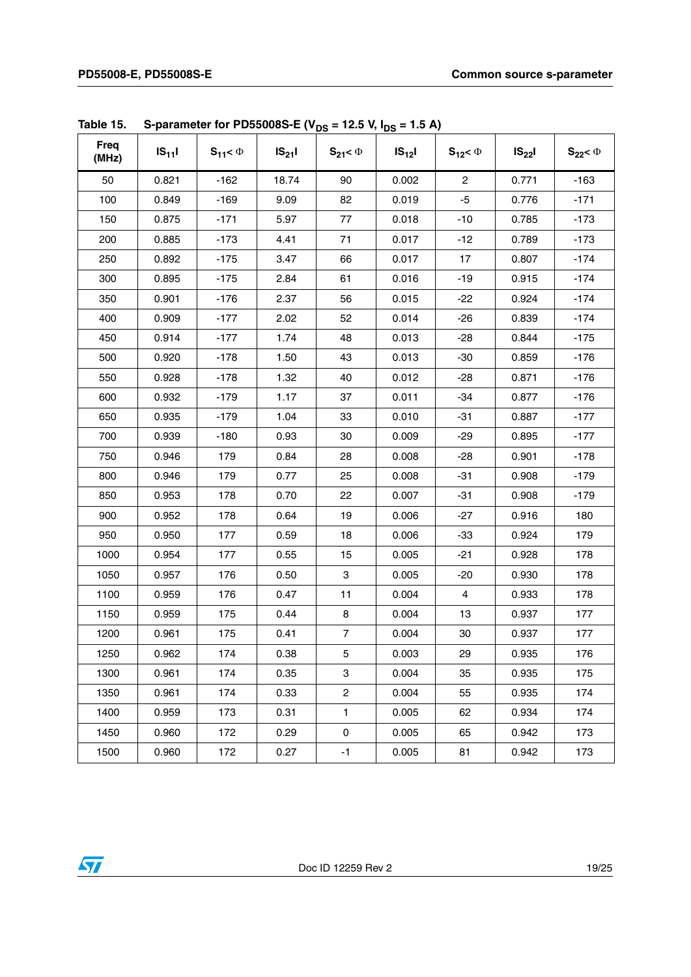| Freq<br>(MHz) | $IS_{11}I$ | $S_{11} < \Phi$ | $IS_{21}I$ | $S_{21} < \Phi$ | $IS_{12}$ | $S_{12} < \Phi$         | $IS_{22}$ | $S_{22}$ < $\Phi$ |
|---------------|------------|-----------------|------------|-----------------|-----------|-------------------------|-----------|-------------------|
| 50            | 0.821      | $-162$          | 18.74      | 90              | 0.002     | $\mathbf{2}$            | 0.771     | $-163$            |
| 100           | 0.849      | $-169$          | 9.09       | 82              | 0.019     | $-5$                    | 0.776     | $-171$            |
| 150           | 0.875      | $-171$          | 5.97       | 77              | 0.018     | $-10$                   | 0.785     | $-173$            |
| 200           | 0.885      | $-173$          | 4.41       | 71              | 0.017     | $-12$                   | 0.789     | $-173$            |
| 250           | 0.892      | $-175$          | 3.47       | 66              | 0.017     | 17                      | 0.807     | $-174$            |
| 300           | 0.895      | $-175$          | 2.84       | 61              | 0.016     | $-19$                   | 0.915     | $-174$            |
| 350           | 0.901      | $-176$          | 2.37       | 56              | 0.015     | $-22$                   | 0.924     | $-174$            |
| 400           | 0.909      | $-177$          | 2.02       | 52              | 0.014     | $-26$                   | 0.839     | $-174$            |
| 450           | 0.914      | $-177$          | 1.74       | 48              | 0.013     | $-28$                   | 0.844     | $-175$            |
| 500           | 0.920      | $-178$          | 1.50       | 43              | 0.013     | $-30$                   | 0.859     | $-176$            |
| 550           | 0.928      | $-178$          | 1.32       | 40              | 0.012     | $-28$                   | 0.871     | $-176$            |
| 600           | 0.932      | $-179$          | 1.17       | 37              | 0.011     | $-34$                   | 0.877     | $-176$            |
| 650           | 0.935      | $-179$          | 1.04       | 33              | 0.010     | $-31$                   | 0.887     | $-177$            |
| 700           | 0.939      | $-180$          | 0.93       | 30              | 0.009     | $-29$                   | 0.895     | $-177$            |
| 750           | 0.946      | 179             | 0.84       | 28              | 0.008     | $-28$                   | 0.901     | $-178$            |
| 800           | 0.946      | 179             | 0.77       | 25              | 0.008     | $-31$                   | 0.908     | $-179$            |
| 850           | 0.953      | 178             | 0.70       | 22              | 0.007     | $-31$                   | 0.908     | $-179$            |
| 900           | 0.952      | 178             | 0.64       | 19              | 0.006     | $-27$                   | 0.916     | 180               |
| 950           | 0.950      | 177             | 0.59       | 18              | 0.006     | $-33$                   | 0.924     | 179               |
| 1000          | 0.954      | 177             | 0.55       | 15              | 0.005     | $-21$                   | 0.928     | 178               |
| 1050          | 0.957      | 176             | 0.50       | 3               | 0.005     | $-20$                   | 0.930     | 178               |
| 1100          | 0.959      | 176             | 0.47       | 11              | 0.004     | $\overline{\mathbf{4}}$ | 0.933     | 178               |
| 1150          | 0.959      | 175             | 0.44       | 8               | 0.004     | 13                      | 0.937     | 177               |
| 1200          | 0.961      | 175             | 0.41       | $\overline{7}$  | 0.004     | 30                      | 0.937     | 177               |
| 1250          | 0.962      | 174             | 0.38       | 5               | 0.003     | 29                      | 0.935     | 176               |
| 1300          | 0.961      | 174             | 0.35       | 3               | 0.004     | 35                      | 0.935     | 175               |
| 1350          | 0.961      | 174             | 0.33       | $\overline{2}$  | 0.004     | 55                      | 0.935     | 174               |
| 1400          | 0.959      | 173             | 0.31       | $\mathbf{1}$    | 0.005     | 62                      | 0.934     | 174               |
| 1450          | 0.960      | 172             | 0.29       | 0               | 0.005     | 65                      | 0.942     | 173               |
| 1500          | 0.960      | 172             | 0.27       | $-1$            | 0.005     | 81                      | 0.942     | 173               |

**Table 15.** S-parameter for PD55008S-E (V<sub>DS</sub> = 12.5 V, I<sub>DS</sub> = 1.5 A)

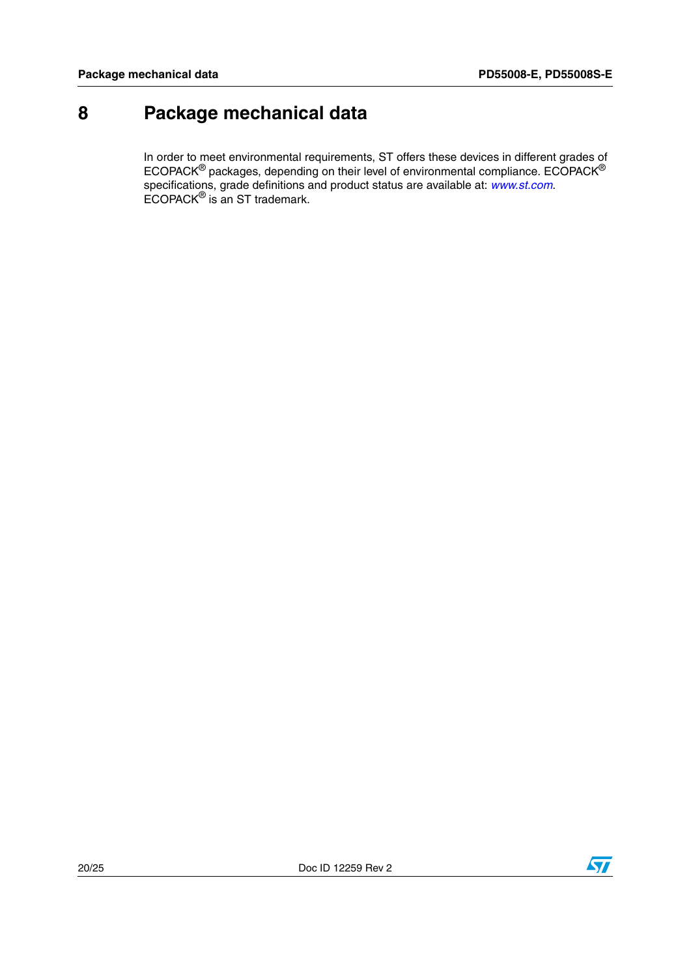## <span id="page-19-0"></span>**8 Package mechanical data**

In order to meet environmental requirements, ST offers these devices in different grades of ECOPACK® packages, depending on their level of environmental compliance. ECOPACK® specifications, grade definitions and product status are available at: *[www.st.com](http://www.st.com)*. ECOPACK® is an ST trademark.

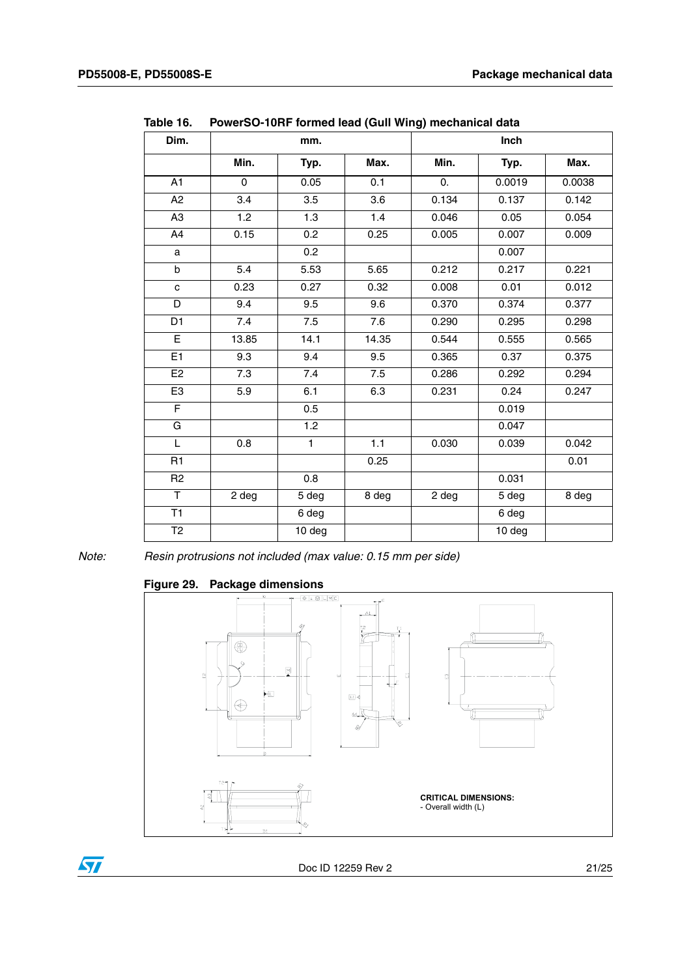| Dim.            | mm.   |                     |       | Inch  |        |        |  |  |
|-----------------|-------|---------------------|-------|-------|--------|--------|--|--|
|                 | Min.  | Typ.                | Max.  | Min.  | Typ.   | Max.   |  |  |
| A1              | 0     | 0.05                | 0.1   | 0.    | 0.0019 | 0.0038 |  |  |
| A2              | 3.4   | 3.5                 | 3.6   | 0.134 | 0.137  | 0.142  |  |  |
| A <sub>3</sub>  | 1.2   | 1.3                 | 1.4   | 0.046 | 0.05   | 0.054  |  |  |
| A4              | 0.15  | 0.2                 | 0.25  | 0.005 | 0.007  | 0.009  |  |  |
| a               |       | 0.2                 |       |       | 0.007  |        |  |  |
| b               | 5.4   | 5.53                | 5.65  | 0.212 | 0.217  | 0.221  |  |  |
| C               | 0.23  | 0.27                | 0.32  | 0.008 | 0.01   | 0.012  |  |  |
| D               | 9.4   | 9.5                 | 9.6   | 0.370 | 0.374  | 0.377  |  |  |
| D <sub>1</sub>  | 7.4   | 7.5                 | 7.6   | 0.290 | 0.295  | 0.298  |  |  |
| E               | 13.85 | 14.1                | 14.35 | 0.544 | 0.555  | 0.565  |  |  |
| E1              | 9.3   | 9.4                 | 9.5   | 0.365 | 0.37   | 0.375  |  |  |
| E <sub>2</sub>  | 7.3   | 7.4                 | 7.5   | 0.286 | 0.292  | 0.294  |  |  |
| E <sub>3</sub>  | 5.9   | 6.1                 | 6.3   | 0.231 | 0.24   | 0.247  |  |  |
| $\overline{F}$  |       | 0.5                 |       |       | 0.019  |        |  |  |
| G               |       | 1.2                 |       |       | 0.047  |        |  |  |
| L               | 0.8   | $\mathbf{1}$        | 1.1   | 0.030 | 0.039  | 0.042  |  |  |
| R1              |       |                     | 0.25  |       |        | 0.01   |  |  |
| R <sub>2</sub>  |       | 0.8                 |       |       | 0.031  |        |  |  |
| T               | 2 deg | 5 deg               | 8 deg | 2 deg | 5 deg  | 8 deg  |  |  |
| $\overline{T1}$ |       | 6 deg               |       |       | 6 deg  |        |  |  |
| T <sub>2</sub>  |       | $\overline{10}$ deg |       |       | 10 deg |        |  |  |

**Table 16. PowerSO-10RF formed lead (Gull Wing) mechanical data**

*Note: Resin protrusions not included (max value: 0.15 mm per side)*

#### **Figure 29. Package dimensions**

 $\sqrt{2}$ 



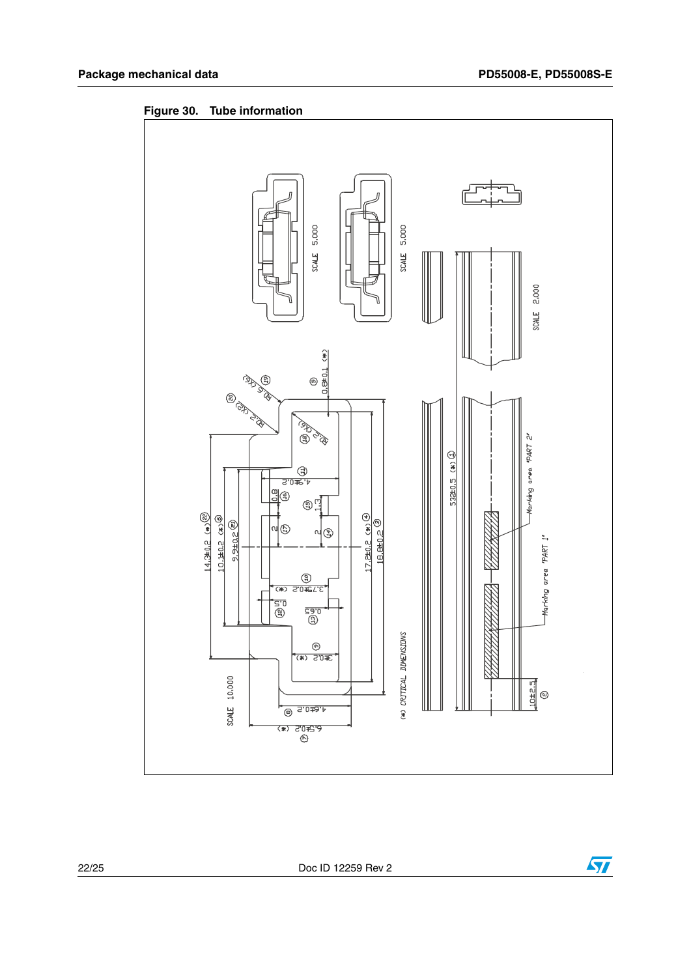

**Figure 30. Tube information**



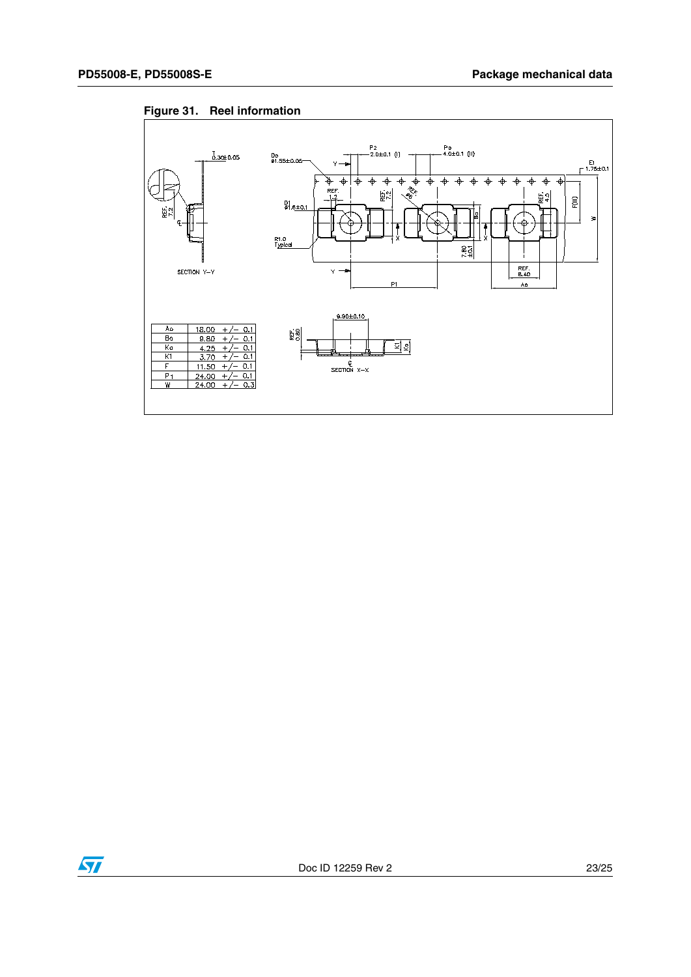

#### **Figure 31. Reel information**

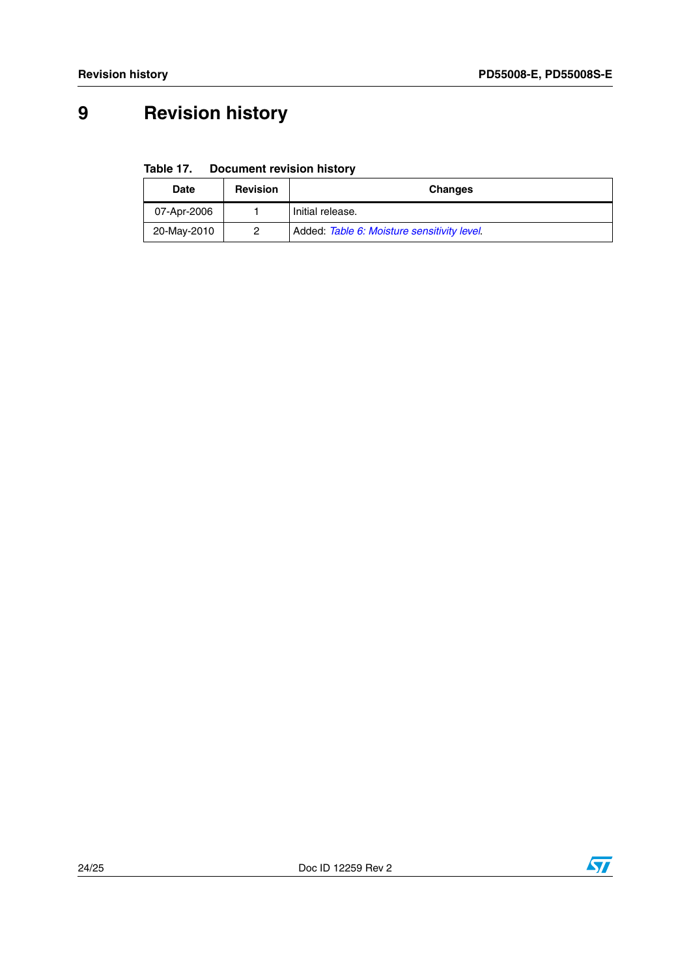# <span id="page-23-0"></span>**9 Revision history**

**Table 17. Document revision history**

| <b>Date</b> | <b>Revision</b> | <b>Changes</b>                              |
|-------------|-----------------|---------------------------------------------|
| 07-Apr-2006 |                 | Initial release.                            |
| 20-May-2010 | ႒               | Added: Table 6: Moisture sensitivity level. |